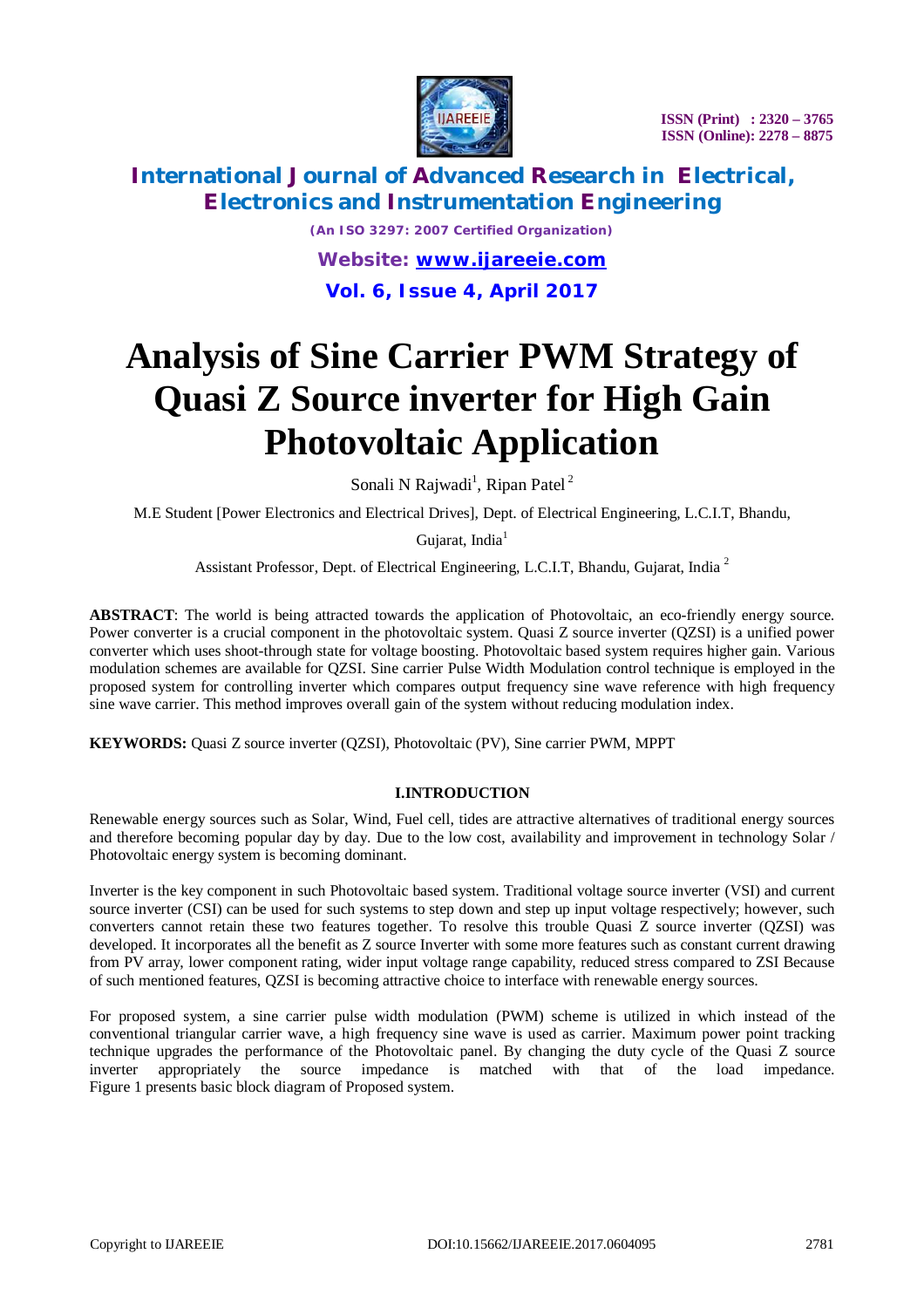

 **ISSN (Print) : 2320 – 3765 ISSN (Online): 2278 – 8875**

# **International Journal of Advanced Research in Electrical, Electronics and Instrumentation Engineering**

*(An ISO 3297: 2007 Certified Organization) Website: [www.ijareeie.com](http://www.ijareeie.com)*

**Vol. 6, Issue 4, April 2017**

# **Analysis of Sine Carrier PWM Strategy of Quasi Z Source inverter for High Gain Photovoltaic Application**

Sonali N Rajwadi<sup>1</sup>, Ripan Patel<sup>2</sup>

M.E Student [Power Electronics and Electrical Drives], Dept. of Electrical Engineering, L.C.I.T, Bhandu,

Gujarat, India<sup>1</sup>

Assistant Professor, Dept. of Electrical Engineering, L.C.I.T, Bhandu, Gujarat, India <sup>2</sup>

**ABSTRACT**: The world is being attracted towards the application of Photovoltaic, an eco-friendly energy source. Power converter is a crucial component in the photovoltaic system. Quasi Z source inverter (QZSI) is a unified power converter which uses shoot-through state for voltage boosting. Photovoltaic based system requires higher gain. Various modulation schemes are available for QZSI. Sine carrier Pulse Width Modulation control technique is employed in the proposed system for controlling inverter which compares output frequency sine wave reference with high frequency sine wave carrier. This method improves overall gain of the system without reducing modulation index.

**KEYWORDS:** Quasi Z source inverter (QZSI), Photovoltaic (PV), Sine carrier PWM, MPPT

## **I.INTRODUCTION**

Renewable energy sources such as Solar, Wind, Fuel cell, tides are attractive alternatives of traditional energy sources and therefore becoming popular day by day. Due to the low cost, availability and improvement in technology Solar / Photovoltaic energy system is becoming dominant.

Inverter is the key component in such Photovoltaic based system. Traditional voltage source inverter (VSI) and current source inverter (CSI) can be used for such systems to step down and step up input voltage respectively; however, such converters cannot retain these two features together. To resolve this trouble Quasi Z source inverter (QZSI) was developed. It incorporates all the benefit as Z source Inverter with some more features such as constant current drawing from PV array, lower component rating, wider input voltage range capability, reduced stress compared to ZSI Because of such mentioned features, QZSI is becoming attractive choice to interface with renewable energy sources.

For proposed system, a sine carrier pulse width modulation (PWM) scheme is utilized in which instead of the conventional triangular carrier wave, a high frequency sine wave is used as carrier. Maximum power point tracking technique upgrades the performance of the Photovoltaic panel. By changing the duty cycle of the Quasi Z source inverter appropriately the source impedance is matched with that of the load impedance. Figure 1 presents basic block diagram of Proposed system.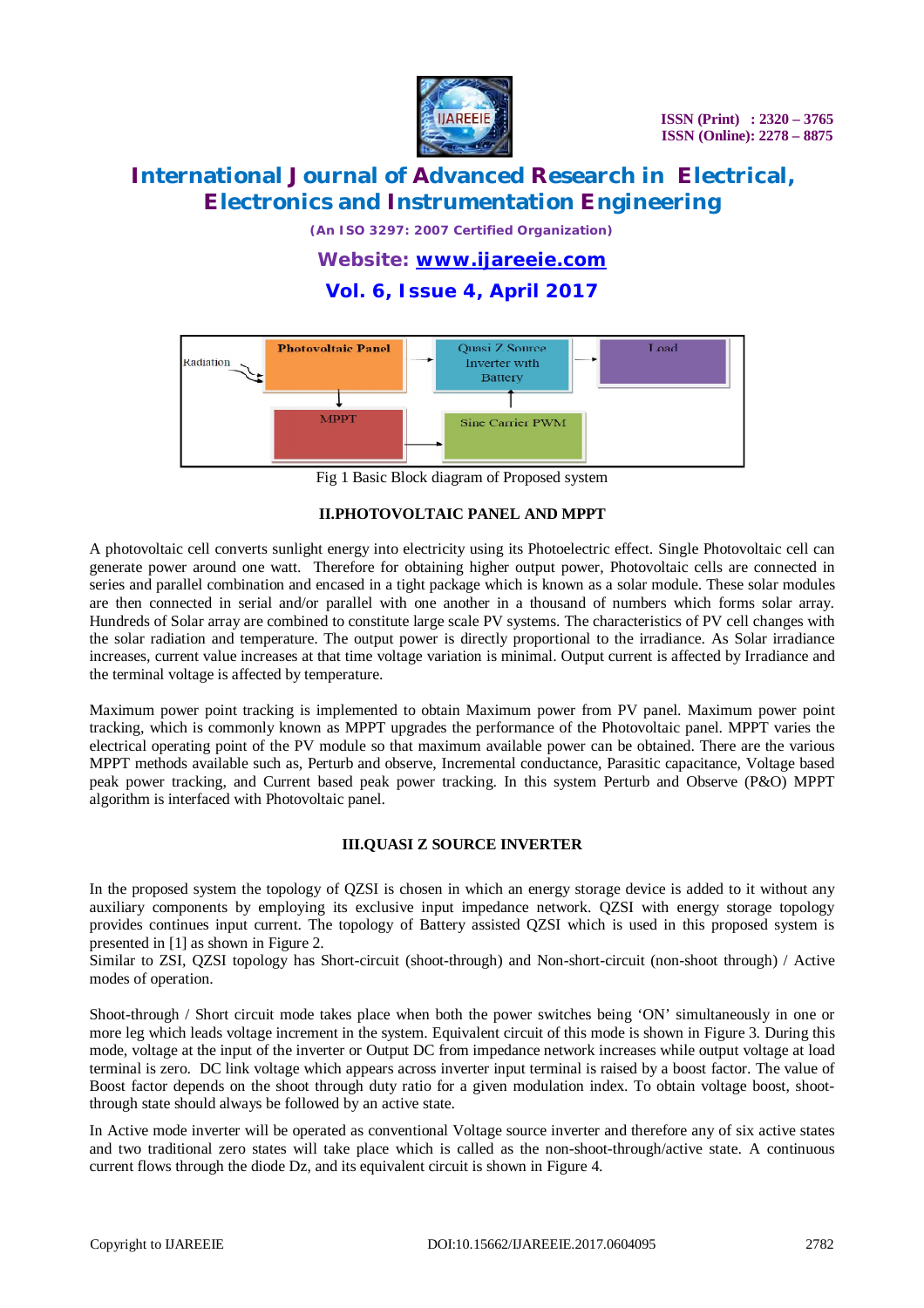

*(An ISO 3297: 2007 Certified Organization)*

# *Website: [www.ijareeie.com](http://www.ijareeie.com)*

## **Vol. 6, Issue 4, April 2017**



Fig 1 Basic Block diagram of Proposed system

### **II.PHOTOVOLTAIC PANEL AND MPPT**

A photovoltaic cell converts sunlight energy into electricity using its Photoelectric effect. Single Photovoltaic cell can generate power around one watt. Therefore for obtaining higher output power, Photovoltaic cells are connected in series and parallel combination and encased in a tight package which is known as a solar module. These solar modules are then connected in serial and/or parallel with one another in a thousand of numbers which forms solar array. Hundreds of Solar array are combined to constitute large scale PV systems. The characteristics of PV cell changes with the solar radiation and temperature. The output power is directly proportional to the irradiance. As Solar irradiance increases, current value increases at that time voltage variation is minimal. Output current is affected by Irradiance and the terminal voltage is affected by temperature.

Maximum power point tracking is implemented to obtain Maximum power from PV panel. Maximum power point tracking, which is commonly known as MPPT upgrades the performance of the Photovoltaic panel. MPPT varies the electrical operating point of the PV module so that maximum available power can be obtained. There are the various MPPT methods available such as, Perturb and observe, Incremental conductance, Parasitic capacitance, Voltage based peak power tracking, and Current based peak power tracking. In this system Perturb and Observe (P&O) MPPT algorithm is interfaced with Photovoltaic panel.

#### **III.QUASI Z SOURCE INVERTER**

In the proposed system the topology of QZSI is chosen in which an energy storage device is added to it without any auxiliary components by employing its exclusive input impedance network. QZSI with energy storage topology provides continues input current. The topology of Battery assisted QZSI which is used in this proposed system is presented in [1] as shown in Figure 2.

Similar to ZSI, QZSI topology has Short-circuit (shoot-through) and Non-short-circuit (non-shoot through) / Active modes of operation.

Shoot-through / Short circuit mode takes place when both the power switches being 'ON' simultaneously in one or more leg which leads voltage increment in the system. Equivalent circuit of this mode is shown in Figure 3. During this mode, voltage at the input of the inverter or Output DC from impedance network increases while output voltage at load terminal is zero. DC link voltage which appears across inverter input terminal is raised by a boost factor. The value of Boost factor depends on the shoot through duty ratio for a given modulation index. To obtain voltage boost, shootthrough state should always be followed by an active state.

In Active mode inverter will be operated as conventional Voltage source inverter and therefore any of six active states and two traditional zero states will take place which is called as the non-shoot-through/active state. A continuous current flows through the diode Dz, and its equivalent circuit is shown in Figure 4.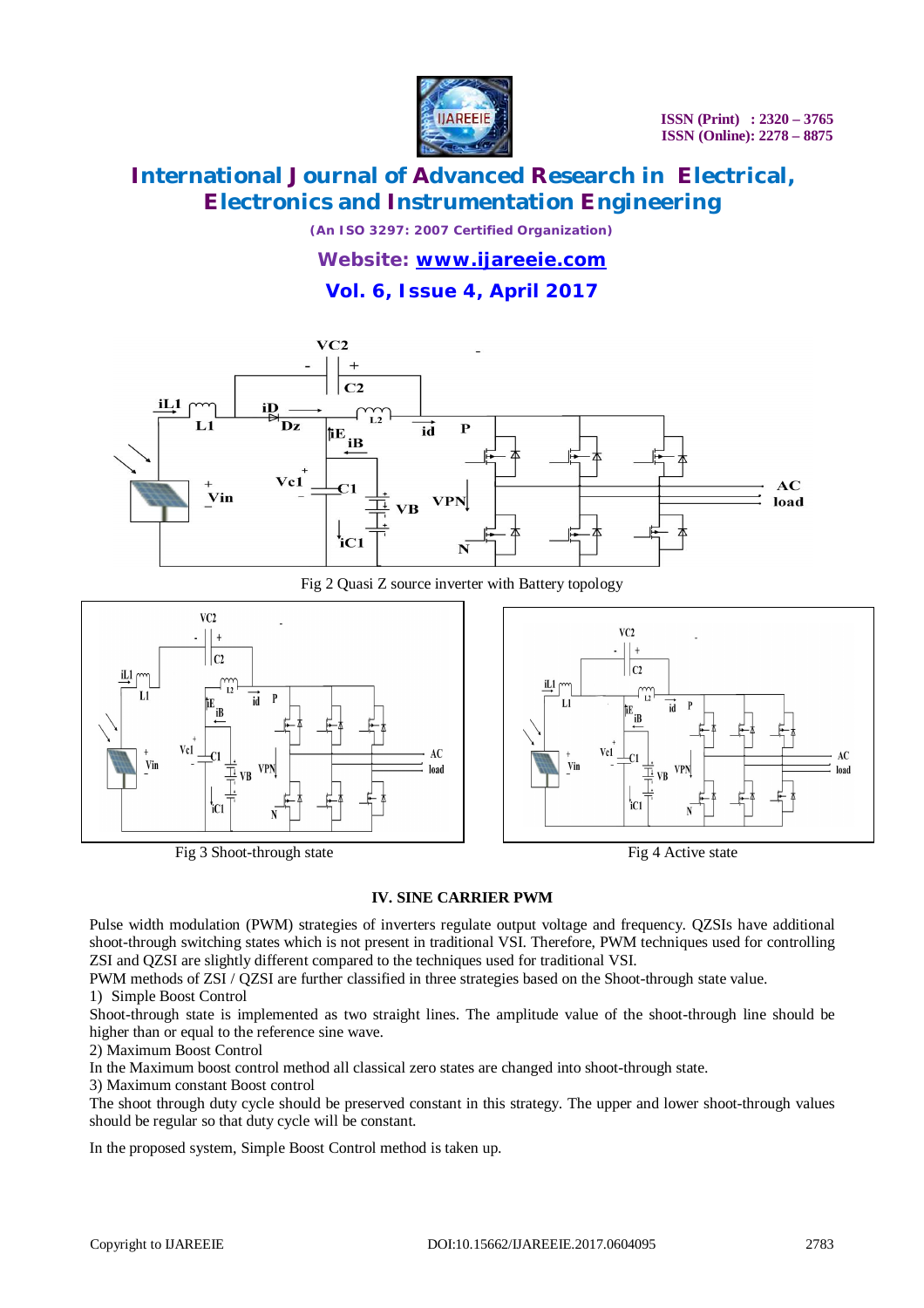

*(An ISO 3297: 2007 Certified Organization)*

*Website: [www.ijareeie.com](http://www.ijareeie.com)*

## **Vol. 6, Issue 4, April 2017**



Fig 2 Quasi Z source inverter with Battery topology



## **IV. SINE CARRIER PWM**

Pulse width modulation (PWM) strategies of inverters regulate output voltage and frequency. QZSIs have additional shoot-through switching states which is not present in traditional VSI. Therefore, PWM techniques used for controlling ZSI and QZSI are slightly different compared to the techniques used for traditional VSI.

PWM methods of ZSI / QZSI are further classified in three strategies based on the Shoot-through state value.

1) Simple Boost Control

Shoot-through state is implemented as two straight lines. The amplitude value of the shoot-through line should be higher than or equal to the reference sine wave.

2) Maximum Boost Control

In the Maximum boost control method all classical zero states are changed into shoot-through state.

3) Maximum constant Boost control

The shoot through duty cycle should be preserved constant in this strategy. The upper and lower shoot-through values should be regular so that duty cycle will be constant.

In the proposed system, Simple Boost Control method is taken up.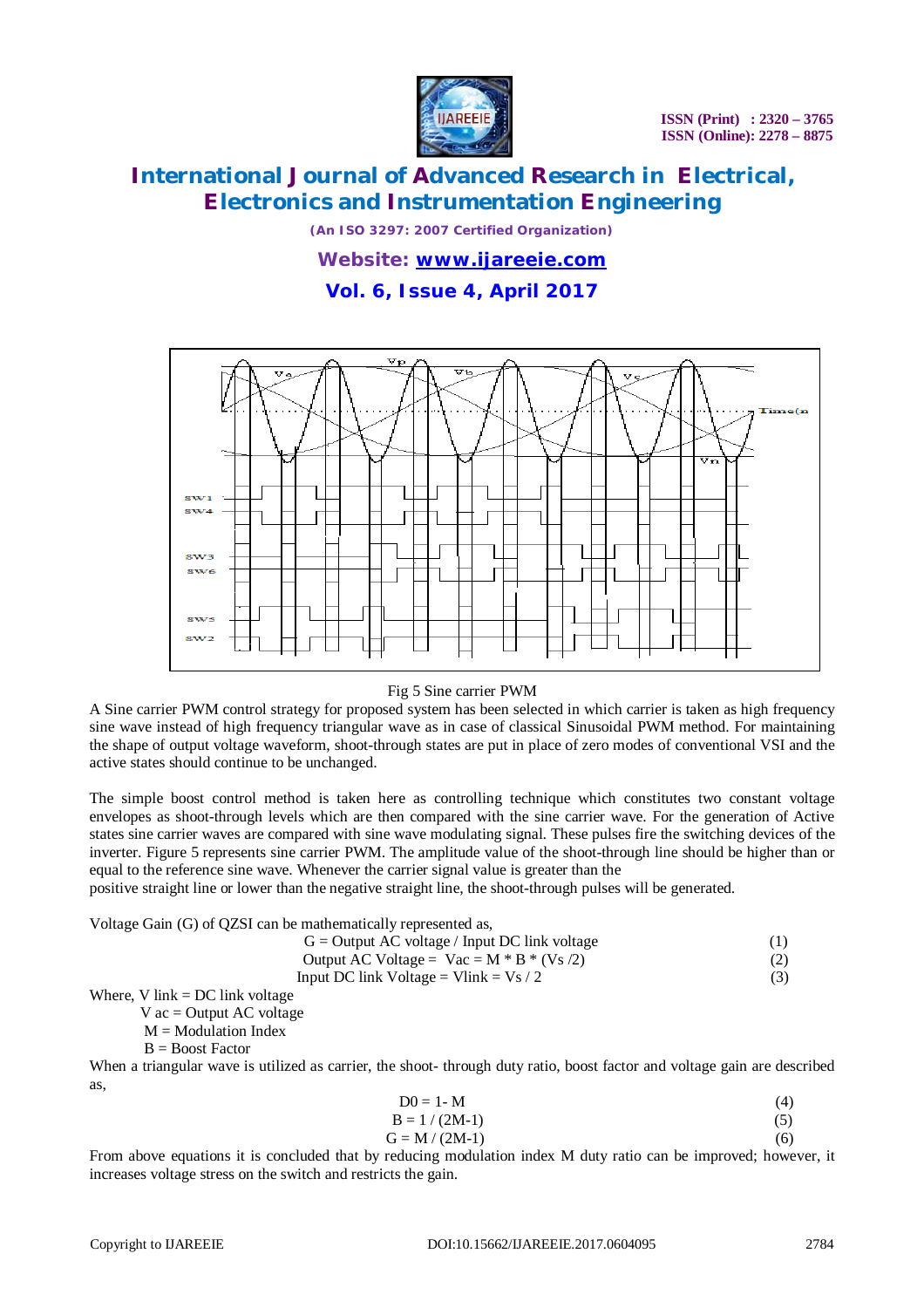

*(An ISO 3297: 2007 Certified Organization)*

*Website: [www.ijareeie.com](http://www.ijareeie.com)* **Vol. 6, Issue 4, April 2017**



#### Fig 5 Sine carrier PWM

A Sine carrier PWM control strategy for proposed system has been selected in which carrier is taken as high frequency sine wave instead of high frequency triangular wave as in case of classical Sinusoidal PWM method. For maintaining the shape of output voltage waveform, shoot-through states are put in place of zero modes of conventional VSI and the active states should continue to be unchanged.

The simple boost control method is taken here as controlling technique which constitutes two constant voltage envelopes as shoot-through levels which are then compared with the sine carrier wave. For the generation of Active states sine carrier waves are compared with sine wave modulating signal. These pulses fire the switching devices of the inverter. Figure 5 represents sine carrier PWM. The amplitude value of the shoot-through line should be higher than or equal to the reference sine wave. Whenever the carrier signal value is greater than the

positive straight line or lower than the negative straight line, the shoot-through pulses will be generated.

Voltage Gain (G) of QZSI can be mathematically represented as,

| $G =$ Output AC voltage / Input DC link voltage          |     |
|----------------------------------------------------------|-----|
| Output AC Voltage = $\text{Vac} = M * B * (\text{Vs}/2)$ | (2) |

| Input DC link Voltage = Vlink = $Vs / 2$ |  |
|------------------------------------------|--|
|                                          |  |

Where,  $V$  link = DC link voltage

 $V$  ac = Output AC voltage  $M = Modulation Index$ 

 $B =$  Boost Factor

When a triangular wave is utilized as carrier, the shoot- through duty ratio, boost factor and voltage gain are described as,

$$
D0 = 1 - M \tag{4}
$$

$$
B = 1 / (2M-1)
$$
(5)  
G = M / (2M-1) (6)

From above equations it is concluded that by reducing modulation index M duty ratio can be improved; however, it increases voltage stress on the switch and restricts the gain.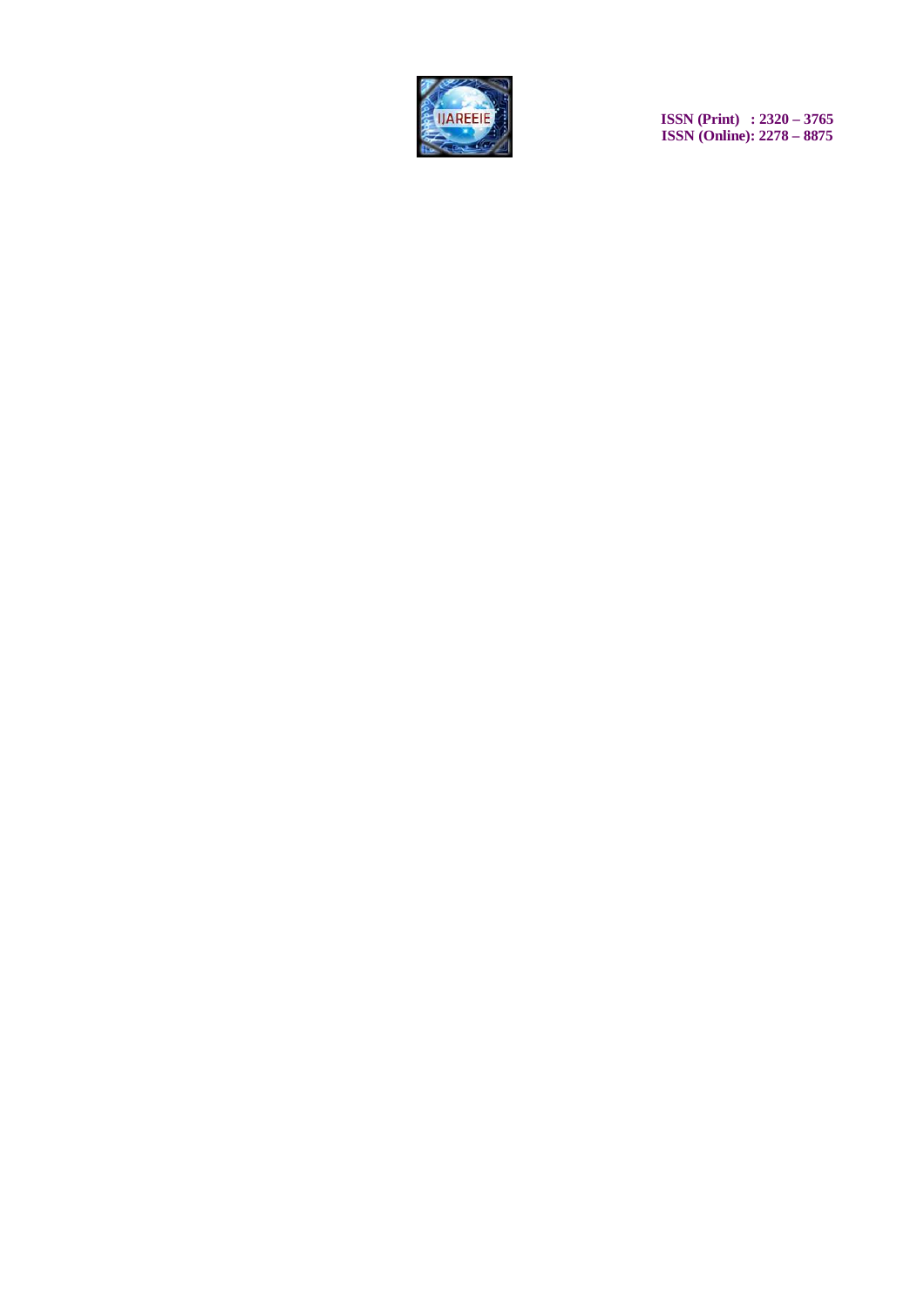

 **ISSN (Print) : 2320 – 3765 ISSN (Online): 2278 – 8875**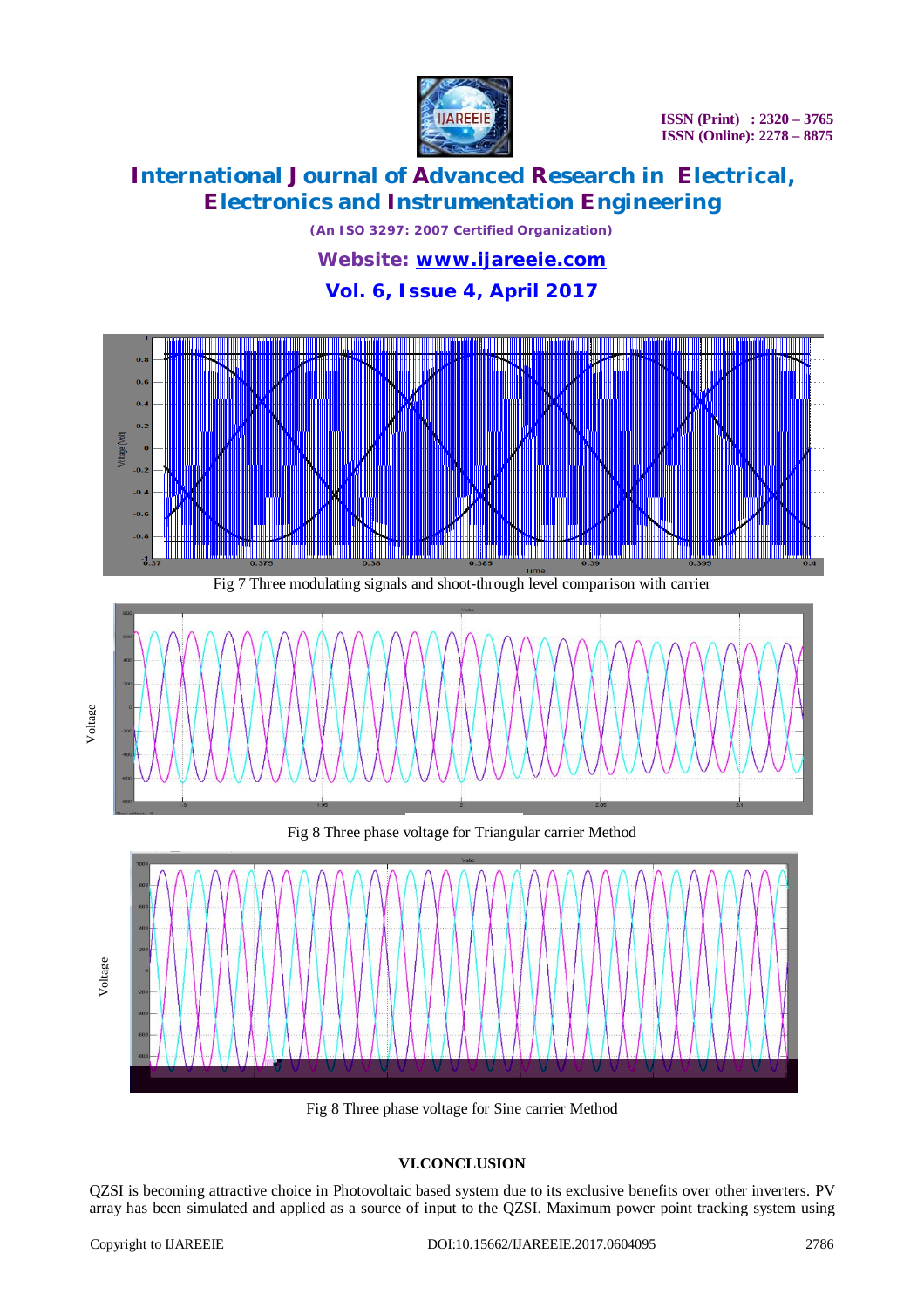

*(An ISO 3297: 2007 Certified Organization)*

*Website: [www.ijareeie.com](http://www.ijareeie.com)* **Vol. 6, Issue 4, April 2017**







Fig 8 Three phase voltage for Sine carrier Method

## **VI.CONCLUSION**

QZSI is becoming attractive choice in Photovoltaic based system due to its exclusive benefits over other inverters. PV